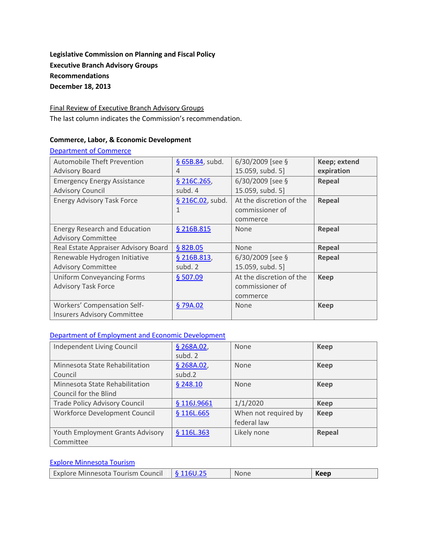# **Legislative Commission on Planning and Fiscal Policy Executive Branch Advisory Groups Recommendations December 18, 2013**

Final Review of Executive Branch Advisory Groups The last column indicates the Commission's recommendation.

#### **Commerce, Labor, & Economic Development**

#### [Department of Commerce](http://www.commissions.leg.state.mn.us/lcpfp/advisory_groups/2013/Commerce_AdvisoryGroups.pdf)

| <b>Automobile Theft Prevention</b>   | § 65B.84, subd.  | $6/30/2009$ [see §       | Keep; extend |
|--------------------------------------|------------------|--------------------------|--------------|
| <b>Advisory Board</b>                | 4                | 15.059, subd. 5]         | expiration   |
| <b>Emergency Energy Assistance</b>   | § 216C.265,      | $6/30/2009$ [see §       | Repeal       |
| <b>Advisory Council</b>              | subd. 4          | 15.059, subd. 5]         |              |
| <b>Energy Advisory Task Force</b>    | § 216C.02, subd. | At the discretion of the | Repeal       |
|                                      | 1                | commissioner of          |              |
|                                      |                  | commerce                 |              |
| <b>Energy Research and Education</b> | § 216B.815       | None                     | Repeal       |
| <b>Advisory Committee</b>            |                  |                          |              |
| Real Estate Appraiser Advisory Board | § 82B.05         | None                     | Repeal       |
| Renewable Hydrogen Initiative        | § 216B.813,      | $6/30/2009$ [see §       | Repeal       |
| <b>Advisory Committee</b>            | subd. 2          | 15.059, subd. 5]         |              |
| <b>Uniform Conveyancing Forms</b>    | \$507.09         | At the discretion of the | Keep         |
| <b>Advisory Task Force</b>           |                  | commissioner of          |              |
|                                      |                  | commerce                 |              |
| Workers' Compensation Self-          | §79A.02          | None                     | <b>Keep</b>  |
| <b>Insurers Advisory Committee</b>   |                  |                          |              |

### [Department of Employment and Economic Development](http://www.commissions.leg.state.mn.us/lcpfp/advisory_groups/2013/DEED_AdvisoryGroups.pdf)

| Independent Living Council           | § 268A.02,  | <b>None</b>          | <b>Keep</b> |
|--------------------------------------|-------------|----------------------|-------------|
|                                      | subd. 2     |                      |             |
| Minnesota State Rehabilitation       | § 268A.02,  | None                 | <b>Keep</b> |
| Council                              | subd.2      |                      |             |
| Minnesota State Rehabilitation       | \$248.10    | <b>None</b>          | <b>Keep</b> |
| Council for the Blind                |             |                      |             |
| <b>Trade Policy Advisory Council</b> | § 116J.9661 | 1/1/2020             | <b>Keep</b> |
| Workforce Development Council        | § 116L.665  | When not required by | <b>Keep</b> |
|                                      |             | federal law          |             |
| Youth Employment Grants Advisory     | § 116L.363  | Likely none          | Repeal      |
| Committee                            |             |                      |             |

### [Explore Minnesota Tourism](http://www.commissions.leg.state.mn.us/lcpfp/advisory_groups/2013/Explore_AdvisoryGroups.pdf)

| Explore Minnesota Tourism Council $\frac{1}{2}$ 116U.25 |  | None | Keep |
|---------------------------------------------------------|--|------|------|
|---------------------------------------------------------|--|------|------|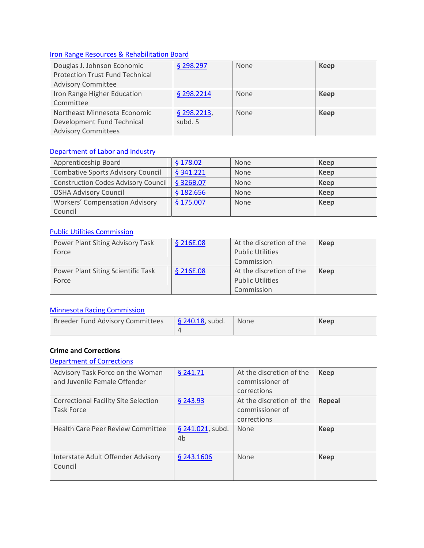# [Iron Range Resources & Rehabilitation Board](http://www.commissions.leg.state.mn.us/lcpfp/advisory_groups/2013/IRRB_AdvisoryGroups.pdf)

| Douglas J. Johnson Economic            | § 298.297    | <b>None</b> | Keep        |
|----------------------------------------|--------------|-------------|-------------|
| <b>Protection Trust Fund Technical</b> |              |             |             |
| <b>Advisory Committee</b>              |              |             |             |
| Iron Range Higher Education            | $§$ 298.2214 | <b>None</b> | Keep        |
| Committee                              |              |             |             |
| Northeast Minnesota Economic           | § 298.2213,  | <b>None</b> | <b>Keep</b> |
| Development Fund Technical             | subd. 5      |             |             |
| <b>Advisory Committees</b>             |              |             |             |

### [Department of Labor and Industry](http://www.commissions.leg.state.mn.us/lcpfp/advisory_groups/2013/DOLI_AdvisoryGroups2.pdf)

| Apprenticeship Board                       | \$178.02  | <b>None</b> | Keep        |
|--------------------------------------------|-----------|-------------|-------------|
| <b>Combative Sports Advisory Council</b>   | § 341.221 | None        | Keep        |
| <b>Construction Codes Advisory Council</b> | § 326B.07 | <b>None</b> | Keep        |
| <b>OSHA Advisory Council</b>               | \$182.656 | None        | Keep        |
| <b>Workers' Compensation Advisory</b>      | \$175.007 | None        | <b>Keep</b> |
| Council                                    |           |             |             |

### [Public Utilities Commission](http://www.commissions.leg.state.mn.us/lcpfp/advisory_groups/2013/PUC_AdvisoryGroups.pdf)

| Power Plant Siting Advisory Task   | § 216E.08 | At the discretion of the | <b>Keep</b> |
|------------------------------------|-----------|--------------------------|-------------|
| Force                              |           | <b>Public Utilities</b>  |             |
|                                    |           | Commission               |             |
| Power Plant Siting Scientific Task | § 216E.08 | At the discretion of the | Keep        |
| Force                              |           | <b>Public Utilities</b>  |             |
|                                    |           | Commission               |             |

# [Minnesota Racing Commission](http://www.commissions.leg.state.mn.us/lcpfp/advisory_groups/2013/MRC_AdvisoryGroups.pdf)

| <b>Breeder Fund Advisory Committees</b> | $\frac{1}{2}$ 240.18, subd. | None | Keep |
|-----------------------------------------|-----------------------------|------|------|
|                                         |                             |      |      |

### **Crime and Corrections**

### [Department of Corrections](http://www.commissions.leg.state.mn.us/lcpfp/advisory_groups/2013/DOC_AdvisoryGroups.pdf)

| Advisory Task Force on the Woman<br>and Juvenile Female Offender | $§$ 241.71                         | At the discretion of the<br>commissioner of<br>corrections | <b>Keep</b> |
|------------------------------------------------------------------|------------------------------------|------------------------------------------------------------|-------------|
| <b>Correctional Facility Site Selection</b><br><b>Task Force</b> | \$243.93                           | At the discretion of the<br>commissioner of<br>corrections | Repeal      |
| <b>Health Care Peer Review Committee</b>                         | § 241.021, subd.<br>4 <sub>b</sub> | None                                                       | <b>Keep</b> |
| Interstate Adult Offender Advisory<br>Council                    | § 243.1606                         | None                                                       | <b>Keep</b> |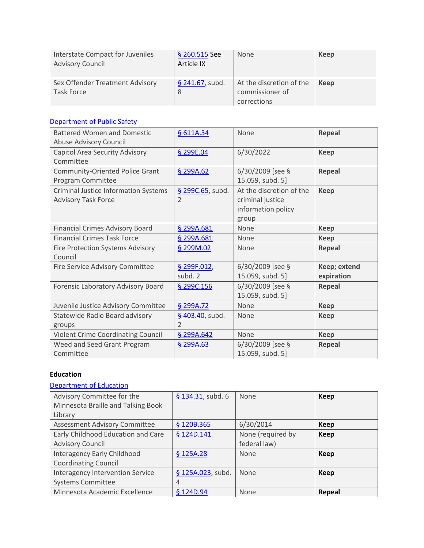| Interstate Compact for Juveniles<br><b>Advisory Council</b> | § 260.515 See<br>Article IX | <b>None</b>              | Keep |
|-------------------------------------------------------------|-----------------------------|--------------------------|------|
| Sex Offender Treatment Advisory                             | $§$ 241.67, subd.           | At the discretion of the | Keep |
| Task Force                                                  |                             | commissioner of          |      |
|                                                             |                             | corrections              |      |

### [Department of Public Safety](http://www.commissions.leg.state.mn.us/lcpfp/advisory_groups/2013/DPS_AdvisoryGroups.pdf)

| <b>Battered Women and Domestic</b>          | § 611A.34        | None                     | Repeal       |
|---------------------------------------------|------------------|--------------------------|--------------|
| Abuse Advisory Council                      |                  |                          |              |
| Capitol Area Security Advisory              | § 299E.04        | 6/30/2022                | <b>Keep</b>  |
| Committee                                   |                  |                          |              |
| <b>Community-Oriented Police Grant</b>      | § 299A.62        | 6/30/2009 [see §         | Repeal       |
| Program Committee                           |                  | 15.059, subd. 5]         |              |
| <b>Criminal Justice Information Systems</b> | § 299C.65, subd. | At the discretion of the | <b>Keep</b>  |
| <b>Advisory Task Force</b>                  | $\overline{2}$   | criminal justice         |              |
|                                             |                  | information policy       |              |
|                                             |                  | group                    |              |
| Financial Crimes Advisory Board             | § 299A.681       | None                     | <b>Keep</b>  |
| <b>Financial Crimes Task Force</b>          | § 299A.681       | None                     | <b>Keep</b>  |
| Fire Protection Systems Advisory            | § 299M.02        | None                     | Repeal       |
| Council                                     |                  |                          |              |
| Fire Service Advisory Committee             | § 299F.012,      | 6/30/2009 [see §         | Keep; extend |
|                                             | subd. 2          | 15.059, subd. 5]         | expiration   |
| Forensic Laboratory Advisory Board          | § 299C.156       | 6/30/2009 [see §         | Repeal       |
|                                             |                  | 15.059, subd. 5]         |              |
| Juvenile Justice Advisory Committee         | § 299A.72        | None                     | <b>Keep</b>  |
| Statewide Radio Board advisory              | § 403.40, subd.  | None                     | <b>Keep</b>  |
| groups                                      | $\overline{2}$   |                          |              |
| Violent Crime Coordinating Council          | § 299A.642       | None                     | <b>Keep</b>  |
| Weed and Seed Grant Program                 | § 299A.63        | $6/30/2009$ [see §       | Repeal       |
| Committee                                   |                  | 15.059, subd. 5]         |              |

### **Education**

# [Department of Education](http://www.commissions.leg.state.mn.us/lcpfp/advisory_groups/2013/DOE_AdvisoryGroups2.pdf)

| Advisory Committee for the         | $$134.31$ , subd. 6 | None              | <b>Keep</b>   |
|------------------------------------|---------------------|-------------------|---------------|
| Minnesota Braille and Talking Book |                     |                   |               |
| Library                            |                     |                   |               |
| Assessment Advisory Committee      | § 120B.365          | 6/30/2014         | Keep          |
| Early Childhood Education and Care | § 124D.141          | None (required by | <b>Keep</b>   |
| <b>Advisory Council</b>            |                     | federal law)      |               |
| Interagency Early Childhood        | § 125A.28           | None              | <b>Keep</b>   |
| <b>Coordinating Council</b>        |                     |                   |               |
| Interagency Intervention Service   | § 125A.023, subd.   | None              | <b>Keep</b>   |
| <b>Systems Committee</b>           | 4                   |                   |               |
| Minnesota Academic Excellence      | § 124D.94           | None              | <b>Repeal</b> |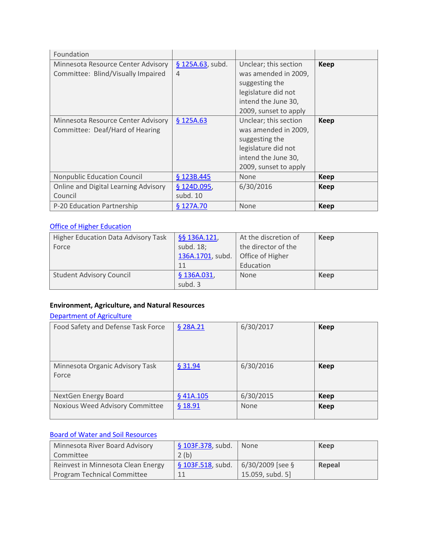| Foundation                           |                  |                       |             |
|--------------------------------------|------------------|-----------------------|-------------|
| Minnesota Resource Center Advisory   | § 125A.63, subd. | Unclear; this section | <b>Keep</b> |
| Committee: Blind/Visually Impaired   | 4                | was amended in 2009,  |             |
|                                      |                  | suggesting the        |             |
|                                      |                  | legislature did not   |             |
|                                      |                  | intend the June 30,   |             |
|                                      |                  | 2009, sunset to apply |             |
| Minnesota Resource Center Advisory   | \$125A.63        | Unclear; this section | <b>Keep</b> |
| Committee: Deaf/Hard of Hearing      |                  | was amended in 2009,  |             |
|                                      |                  | suggesting the        |             |
|                                      |                  | legislature did not   |             |
|                                      |                  | intend the June 30,   |             |
|                                      |                  | 2009, sunset to apply |             |
| <b>Nonpublic Education Council</b>   | \$123B.445       | None                  | <b>Keep</b> |
| Online and Digital Learning Advisory | § 124D.095,      | 6/30/2016             | <b>Keep</b> |
| Council                              | subd. 10         |                       |             |
| P-20 Education Partnership           | \$127A.70        | None                  | <b>Keep</b> |

# **[Office of Higher Education](http://www.commissions.leg.state.mn.us/lcpfp/advisory_groups/2013/OHE_AdvisoryGroups.pdf)**

| <b>Higher Education Data Advisory Task</b> | §§ 136A.121,     | At the discretion of | Keep |
|--------------------------------------------|------------------|----------------------|------|
| Force                                      | subd. 18;        | the director of the  |      |
|                                            | 136A.1701, subd. | Office of Higher     |      |
|                                            | 11               | Education            |      |
| <b>Student Advisory Council</b>            | \$136A.031,      | <b>None</b>          | Keep |
|                                            | subd. 3          |                      |      |

# **Environment, Agriculture, and Natural Resources**

# [Department of Agriculture](http://www.commissions.leg.state.mn.us/lcpfp/advisory_groups/2013/MDA_AdvisoryGroups.pdf)

| Food Safety and Defense Task Force       | § 28A.21 | 6/30/2017   | <b>Keep</b> |
|------------------------------------------|----------|-------------|-------------|
| Minnesota Organic Advisory Task<br>Force | \$31.94  | 6/30/2016   | <b>Keep</b> |
| NextGen Energy Board                     | §41A.105 | 6/30/2015   | <b>Keep</b> |
| Noxious Weed Advisory Committee          | \$18.91  | <b>None</b> | <b>Keep</b> |

# [Board of Water and Soil Resources](http://www.commissions.leg.state.mn.us/lcpfp/advisory_groups/2013/BWSR_AdvisoryGroup.pdf)

| Minnesota River Board Advisory     | § 103F.378, subd. | None               | Keep   |
|------------------------------------|-------------------|--------------------|--------|
| Committee                          | 2(b)              |                    |        |
| Reinvest in Minnesota Clean Energy | § 103F.518, subd. | $6/30/2009$ [see § | Repeal |
| Program Technical Committee        |                   | 15.059, subd. 5]   |        |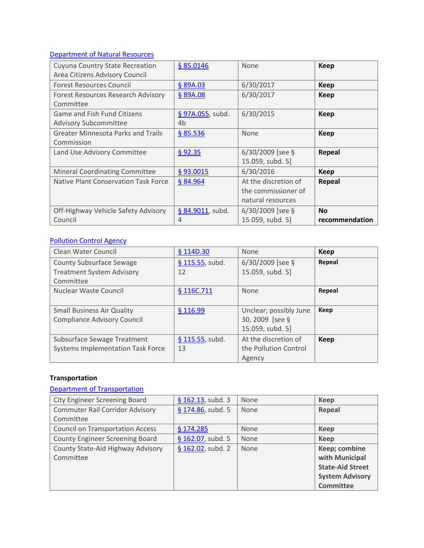# [Department of Natural Resources](http://www.commissions.leg.state.mn.us/lcpfp/advisory_groups/2013/DNR_AdvisoryGroups.pdf)

| Cuyuna Country State Recreation           | § 85.0146        | None                 | <b>Keep</b>    |
|-------------------------------------------|------------------|----------------------|----------------|
| Area Citizens Advisory Council            |                  |                      |                |
| <b>Forest Resources Council</b>           | \$89A.03         | 6/30/2017            | <b>Keep</b>    |
| Forest Resources Research Advisory        | § 89A.08         | 6/30/2017            | <b>Keep</b>    |
| Committee                                 |                  |                      |                |
| Game and Fish Fund Citizens               | § 97A.055, subd. | 6/30/2015            | <b>Keep</b>    |
| <b>Advisory Subcommittee</b>              | 4b               |                      |                |
| <b>Greater Minnesota Parks and Trails</b> | \$85.536         | <b>None</b>          | <b>Keep</b>    |
| Commission                                |                  |                      |                |
| Land Use Advisory Committee               | \$92.35          | 6/30/2009 [see §     | Repeal         |
|                                           |                  | 15.059, subd. 5]     |                |
| <b>Mineral Coordinating Committee</b>     | §93.0015         | 6/30/2016            | <b>Keep</b>    |
| Native Plant Conservation Task Force      | § 84.964         | At the discretion of | Repeal         |
|                                           |                  | the commissioner of  |                |
|                                           |                  | natural resources    |                |
| Off-Highway Vehicle Safety Advisory       | § 84.9011, subd. | $6/30/2009$ [see §   | <b>No</b>      |
| Council                                   | 4                | 15.059, subd. 5]     | recommendation |

# [Pollution Control Agency](http://www.commissions.leg.state.mn.us/lcpfp/advisory_groups/2013/PCA_AdvisoryGroups.pdf)

| Clean Water Council                      | \$114D.30         | <b>None</b>            | Keep   |
|------------------------------------------|-------------------|------------------------|--------|
| <b>County Subsurface Sewage</b>          | $$115.55$ , subd. | $6/30/2009$ [see §     | Repeal |
| <b>Treatment System Advisory</b>         | 12                | 15.059, subd. 5]       |        |
| Committee                                |                   |                        |        |
| Nuclear Waste Council                    | § 116C.711        | <b>None</b>            | Repeal |
|                                          |                   |                        |        |
| <b>Small Business Air Quality</b>        | \$116.99          | Unclear; possibly June | Keep   |
| <b>Compliance Advisory Council</b>       |                   | 30, 2009 [see §        |        |
|                                          |                   | 15.059, subd. 5]       |        |
| Subsurface Sewage Treatment              | § 115.55, subd.   | At the discretion of   | Keep   |
| <b>Systems Implementation Task Force</b> | 13                | the Pollution Control  |        |
|                                          |                   | Agency                 |        |

# **Transportation**

# [Department of Transportation](http://www.commissions.leg.state.mn.us/lcpfp/advisory_groups/2013/MnDOT_AdvisoryGroups2.pdf)

| City Engineer Screening Board           | $§$ 162.13, subd. 3  | None | Keep                    |
|-----------------------------------------|----------------------|------|-------------------------|
| <b>Commuter Rail Corridor Advisory</b>  | § 174.86, subd. 5    | None | Repeal                  |
| Committee                               |                      |      |                         |
| <b>Council on Transportation Access</b> | \$174.285            | None | <b>Keep</b>             |
| <b>County Engineer Screening Board</b>  | § $162.07$ , subd. 5 | None | <b>Keep</b>             |
| County State-Aid Highway Advisory       | § 162.02, subd. 2    | None | Keep; combine           |
| Committee                               |                      |      | with Municipal          |
|                                         |                      |      | <b>State-Aid Street</b> |
|                                         |                      |      | <b>System Advisory</b>  |
|                                         |                      |      | <b>Committee</b>        |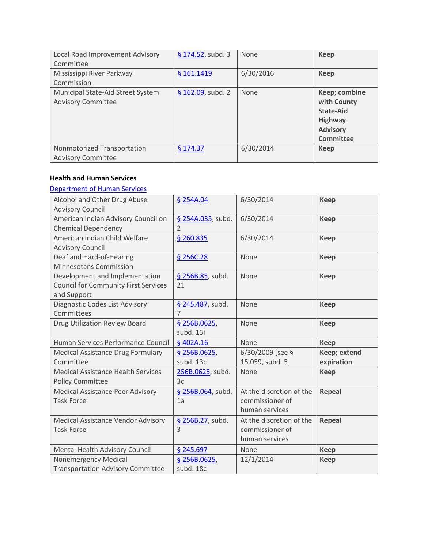| Local Road Improvement Advisory<br>Committee                   | § $174.52$ , subd. 3 | None      | <b>Keep</b>                                                                                               |
|----------------------------------------------------------------|----------------------|-----------|-----------------------------------------------------------------------------------------------------------|
| Mississippi River Parkway<br>Commission                        | § 161.1419           | 6/30/2016 | <b>Keep</b>                                                                                               |
| Municipal State-Aid Street System<br><b>Advisory Committee</b> | $$162.09$ , subd. 2  | None      | Keep; combine<br>with County<br><b>State-Aid</b><br><b>Highway</b><br><b>Advisory</b><br><b>Committee</b> |
| Nonmotorized Transportation<br><b>Advisory Committee</b>       | \$174.37             | 6/30/2014 | <b>Keep</b>                                                                                               |

### **Health and Human Services**

### [Department of Human Services](http://www.commissions.leg.state.mn.us/lcpfp/advisory_groups/2013/DHS_AdvisoryGroups.pdf)

| Alcohol and Other Drug Abuse<br><b>Advisory Council</b>                                      | § 254A.04                           | 6/30/2014                | <b>Keep</b>   |
|----------------------------------------------------------------------------------------------|-------------------------------------|--------------------------|---------------|
| American Indian Advisory Council on<br><b>Chemical Dependency</b>                            | § 254A.035, subd.<br>$\mathfrak{D}$ | 6/30/2014                | <b>Keep</b>   |
| American Indian Child Welfare<br><b>Advisory Council</b>                                     | § 260.835                           | 6/30/2014                | <b>Keep</b>   |
| Deaf and Hard-of-Hearing<br>Minnesotans Commission                                           | § 256C.28                           | None                     | <b>Keep</b>   |
| Development and Implementation<br><b>Council for Community First Services</b><br>and Support | § 256B.85, subd.<br>21              | None                     | <b>Keep</b>   |
| Diagnostic Codes List Advisory<br>Committees                                                 | § 245.487, subd.<br>$\overline{7}$  | None                     | <b>Keep</b>   |
| Drug Utilization Review Board                                                                | § 256B.0625,<br>subd. 13i           | None                     | <b>Keep</b>   |
| Human Services Performance Council                                                           | §402A.16                            | None                     | <b>Keep</b>   |
| Medical Assistance Drug Formulary                                                            | § 256B.0625,                        | 6/30/2009 [see §         | Keep; extend  |
| Committee                                                                                    | subd. 13c                           | 15.059, subd. 5]         | expiration    |
| <b>Medical Assistance Health Services</b>                                                    | 256B.0625, subd.                    | None                     | <b>Keep</b>   |
| <b>Policy Committee</b>                                                                      | 3c                                  |                          |               |
| <b>Medical Assistance Peer Advisory</b>                                                      | § 256B.064, subd.                   | At the discretion of the | Repeal        |
| <b>Task Force</b>                                                                            | 1a                                  | commissioner of          |               |
|                                                                                              |                                     | human services           |               |
| Medical Assistance Vendor Advisory                                                           | § 256B.27, subd.                    | At the discretion of the | <b>Repeal</b> |
| <b>Task Force</b>                                                                            | 3                                   | commissioner of          |               |
|                                                                                              |                                     | human services           |               |
| Mental Health Advisory Council                                                               | § 245.697                           | None                     | <b>Keep</b>   |
| <b>Nonemergency Medical</b>                                                                  | \$256B.0625,                        | 12/1/2014                | <b>Keep</b>   |
| <b>Transportation Advisory Committee</b>                                                     | subd. 18c                           |                          |               |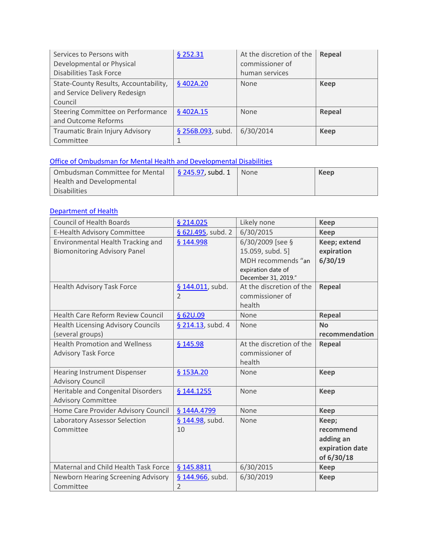| Services to Persons with<br>Developmental or Physical<br><b>Disabilities Task Force</b> | \$252.31          | At the discretion of the<br>commissioner of<br>human services | Repeal        |
|-----------------------------------------------------------------------------------------|-------------------|---------------------------------------------------------------|---------------|
| State-County Results, Accountability,<br>and Service Delivery Redesign<br>Council       | §402A.20          | None                                                          | <b>Keep</b>   |
| Steering Committee on Performance<br>and Outcome Reforms                                | \$402A.15         | None                                                          | <b>Repeal</b> |
| Traumatic Brain Injury Advisory<br>Committee                                            | § 256B.093, subd. | 6/30/2014                                                     | <b>Keep</b>   |

# [Office of Ombudsman for Mental Health and Developmental Disabilities](http://www.commissions.leg.state.mn.us/lcpfp/advisory_groups/2013/OmbudsmanforMentalHealthandDevelopmentalDisabilities.pdf)

| Ombudsman Committee for Mental | $\frac{1}{2}$ \$ 245.97, subd. 1 | None | Keep |
|--------------------------------|----------------------------------|------|------|
| Health and Developmental       |                                  |      |      |
| Disabilities                   |                                  |      |      |

### [Department of Health](http://www.commissions.leg.state.mn.us/lcpfp/advisory_groups/2013/MDH_AdvisoryGroups.pdf)

| <b>Council of Health Boards</b>                                          | § 214.025                          | Likely none                                                | <b>Keep</b>                                                      |
|--------------------------------------------------------------------------|------------------------------------|------------------------------------------------------------|------------------------------------------------------------------|
| E-Health Advisory Committee                                              | § 62J.495, subd. 2                 | 6/30/2015                                                  | <b>Keep</b>                                                      |
| Environmental Health Tracking and<br><b>Biomonitoring Advisory Panel</b> | § 144.998                          | 6/30/2009 [see §<br>15.059, subd. 5]<br>MDH recommends "an | Keep; extend<br>expiration<br>6/30/19                            |
|                                                                          |                                    | expiration date of<br>December 31, 2019."                  |                                                                  |
| Health Advisory Task Force                                               | § 144.011, subd.<br>$\overline{2}$ | At the discretion of the<br>commissioner of<br>health      | <b>Repeal</b>                                                    |
| <b>Health Care Reform Review Council</b>                                 | § 62U.09                           | None                                                       | Repeal                                                           |
| <b>Health Licensing Advisory Councils</b><br>(several groups)            | § 214.13, subd. 4                  | None                                                       | <b>No</b><br>recommendation                                      |
| <b>Health Promotion and Wellness</b><br><b>Advisory Task Force</b>       | § 145.98                           | At the discretion of the<br>commissioner of<br>health      | <b>Repeal</b>                                                    |
| <b>Hearing Instrument Dispenser</b><br><b>Advisory Council</b>           | § 153A.20                          | None                                                       | <b>Keep</b>                                                      |
| Heritable and Congenital Disorders<br><b>Advisory Committee</b>          | § 144.1255                         | None                                                       | <b>Keep</b>                                                      |
| Home Care Provider Advisory Council                                      | § 144A.4799                        | None                                                       | <b>Keep</b>                                                      |
| Laboratory Assessor Selection<br>Committee                               | § 144.98, subd.<br>10              | None                                                       | Keep;<br>recommend<br>adding an<br>expiration date<br>of 6/30/18 |
| Maternal and Child Health Task Force                                     | § 145.8811                         | 6/30/2015                                                  | <b>Keep</b>                                                      |
| Newborn Hearing Screening Advisory<br>Committee                          | § 144.966, subd.<br>$\overline{2}$ | 6/30/2019                                                  | <b>Keep</b>                                                      |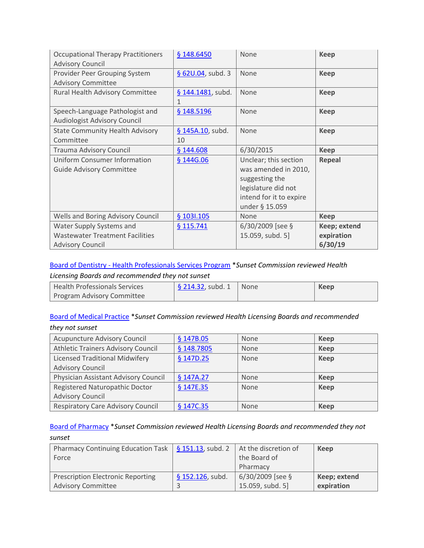| <b>Occupational Therapy Practitioners</b><br><b>Advisory Council</b>                          | § 148.6450             | None                                                                                                                                | <b>Keep</b>                           |
|-----------------------------------------------------------------------------------------------|------------------------|-------------------------------------------------------------------------------------------------------------------------------------|---------------------------------------|
| Provider Peer Grouping System<br><b>Advisory Committee</b>                                    | $$620.04$ , subd. 3    | None                                                                                                                                | <b>Keep</b>                           |
| Rural Health Advisory Committee                                                               | § 144.1481, subd.      | None                                                                                                                                | <b>Keep</b>                           |
| Speech-Language Pathologist and<br><b>Audiologist Advisory Council</b>                        | § 148.5196             | None                                                                                                                                | <b>Keep</b>                           |
| <b>State Community Health Advisory</b><br>Committee                                           | § 145A.10, subd.<br>10 | None                                                                                                                                | <b>Keep</b>                           |
| Trauma Advisory Council                                                                       | § 144.608              | 6/30/2015                                                                                                                           | <b>Keep</b>                           |
| <b>Uniform Consumer Information</b><br><b>Guide Advisory Committee</b>                        | § 144G.06              | Unclear; this section<br>was amended in 2010,<br>suggesting the<br>legislature did not<br>intend for it to expire<br>under § 15.059 | <b>Repeal</b>                         |
| Wells and Boring Advisory Council                                                             | \$1031.105             | None                                                                                                                                | <b>Keep</b>                           |
| Water Supply Systems and<br><b>Wastewater Treatment Facilities</b><br><b>Advisory Council</b> | § 115.741              | 6/30/2009 [see §<br>15.059, subd. 5]                                                                                                | Keep; extend<br>expiration<br>6/30/19 |

# Board of Dentistry - [Health Professionals Services Program](http://www.commissions.leg.state.mn.us/lcpfp/advisory_groups/2013/BOD_HealthProfessionalsServicesProgram.pdf) \**Sunset Commission reviewed Health*

### *Licensing Boards and recommended they not sunset*

| l Health Professionals Services | $\frac{1}{2}$ \$ 214.32, subd. 1 | None | Keep |
|---------------------------------|----------------------------------|------|------|
| Program Advisory Committee      |                                  |      |      |

### [Board of Medical Practice](http://www.commissions.leg.state.mn.us/lcpfp/advisory_groups/2013/BMP_AdvisoryGroups.pdf) \**Sunset Commission reviewed Health Licensing Boards and recommended they not sunset*

| <b>Acupuncture Advisory Council</b>      | § 147B.05  | None | <b>Keep</b> |
|------------------------------------------|------------|------|-------------|
| Athletic Trainers Advisory Council       | § 148.7805 | None | <b>Keep</b> |
| <b>Licensed Traditional Midwifery</b>    | § 147D.25  | None | <b>Keep</b> |
| <b>Advisory Council</b>                  |            |      |             |
| Physician Assistant Advisory Council     | \$147A.27  | None | Keep        |
| Registered Naturopathic Doctor           | § 147E.35  | None | <b>Keep</b> |
| <b>Advisory Council</b>                  |            |      |             |
| <b>Respiratory Care Advisory Council</b> | § 147C.35  | None | <b>Keep</b> |

### [Board of Pharmacy](http://www.commissions.leg.state.mn.us/lcpfp/advisory_groups/2013/Pharmacy_AdvisoryGroups.pdf) \**Sunset Commission reviewed Health Licensing Boards and recommended they not sunset*

| Pharmacy Continuing Education Task $\frac{1}{5}$ 151.13, subd. 2 |                  | At the discretion of | Keep         |
|------------------------------------------------------------------|------------------|----------------------|--------------|
| Force                                                            |                  | the Board of         |              |
|                                                                  |                  | Pharmacy             |              |
| <b>Prescription Electronic Reporting</b>                         | § 152.126, subd. | $6/30/2009$ [see §   | Keep; extend |
| <b>Advisory Committee</b>                                        |                  | 15.059, subd. 5]     | expiration   |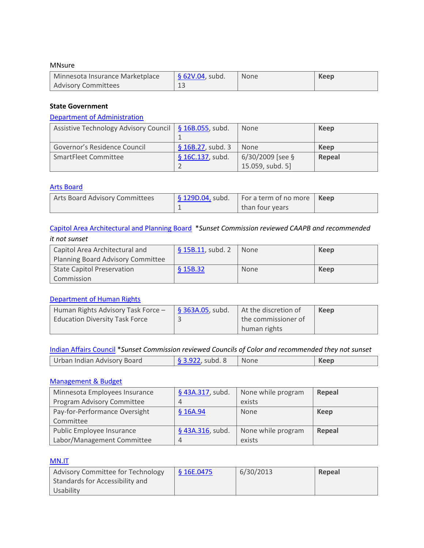#### MNsure

| Minnesota Insurance Marketplace | $\frac{1}{9}$ 62V.04, subd. | None | Keep |
|---------------------------------|-----------------------------|------|------|
| Advisory Committees             | ᅩᆚ                          |      |      |

### **State Government**

### [Department of Administration](http://www.commissions.leg.state.mn.us/lcpfp/advisory_groups/2013/Admin_AdvisoryGroups.pdf)

| Assistive Technology Advisory Council   § 16B.055, subd. |                     | None               | Keep   |
|----------------------------------------------------------|---------------------|--------------------|--------|
|                                                          |                     |                    |        |
| Governor's Residence Council                             | $$16B.27$ , subd. 3 | None               | Keep   |
| SmartFleet Committee                                     | $§ 16C.137$ , subd. | $6/30/2009$ [see § | Repeal |
|                                                          |                     | 15.059, subd. 5]   |        |

#### [Arts Board](http://www.commissions.leg.state.mn.us/lcpfp/advisory_groups/2013/SAB_AdvisoryGroups.pdf)

| Arts Board Advisory Committees | $\frac{1}{2}$ [Sequence 1290.04, subd.   For a term of no more   Keep |  |
|--------------------------------|-----------------------------------------------------------------------|--|
|                                | than four years                                                       |  |

### [Capitol Area Architectural and Planning Board](http://www.commissions.leg.state.mn.us/lcpfp/advisory_groups/2013/CAAPB_AdvisoryGroups.pdf) \**Sunset Commission reviewed CAAPB and recommended it not sunset*

| Capitol Area Architectural and<br>Planning Board Advisory Committee | $$15B.11$ , subd. 2 | <b>None</b> | Keep |
|---------------------------------------------------------------------|---------------------|-------------|------|
|                                                                     |                     |             |      |
| <b>State Capitol Preservation</b>                                   | \$15B.32            | None        | Keep |
| Commission                                                          |                     |             |      |

### [Department of Human Rights](http://www.commissions.leg.state.mn.us/lcpfp/advisory_groups/2013/MDHR_AdvisoryGroups.pdf)

| Human Rights Advisory Task Force -    | $§$ 363A.05, subd. | At the discretion of | Keep |
|---------------------------------------|--------------------|----------------------|------|
| <b>Education Diversity Task Force</b> |                    | the commissioner of  |      |
|                                       |                    | human rights         |      |

### [Indian Affairs Council](http://www.commissions.leg.state.mn.us/lcpfp/advisory_groups/2013/MIAC_AdvisoryGroups.pdf) \**Sunset Commission reviewed Councils of Color and recommended they not sunset*

| Urban Indian Advisory Board<br>subd. 8 | None | (eer |
|----------------------------------------|------|------|

### [Management & Budget](http://www.commissions.leg.state.mn.us/lcpfp/advisory_groups/2013/MMB_AdvisoryGroups.pdf)

| Minnesota Employees Insurance | § 43A.317, subd. | None while program | <b>Repeal</b> |
|-------------------------------|------------------|--------------------|---------------|
| Program Advisory Committee    | 4                | exists             |               |
| Pay-for-Performance Oversight | \$16A.94         | None               | Keep          |
| Committee                     |                  |                    |               |
| Public Employee Insurance     | § 43A.316, subd. | None while program | Repeal        |
| Labor/Management Committee    | $\overline{4}$   | exists             |               |

### [MN.IT](http://www.commissions.leg.state.mn.us/lcpfp/advisory_groups/2013/MNIT_AdvisoryGroups.pdf)

| <b>Advisory Committee for Technology</b> | \$16E.0475 | 6/30/2013 | Repeal |
|------------------------------------------|------------|-----------|--------|
| Standards for Accessibility and          |            |           |        |
| Usability                                |            |           |        |